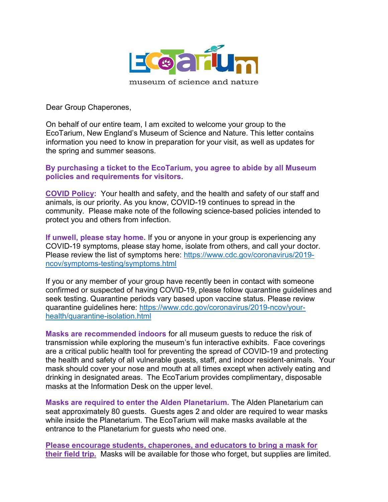

Dear Group Chaperones,

On behalf of our entire team, I am excited to welcome your group to the EcoTarium, New England's Museum of Science and Nature. This letter contains information you need to know in preparation for your visit, as well as updates for the spring and summer seasons.

## By purchasing a ticket to the EcoTarium, you agree to abide by all Museum policies and requirements for visitors.

COVID Policy: Your health and safety, and the health and safety of our staff and animals, is our priority. As you know, COVID-19 continues to spread in the community. Please make note of the following science-based policies intended to protect you and others from infection.

If unwell, please stay home. If you or anyone in your group is experiencing any COVID-19 symptoms, please stay home, isolate from others, and call your doctor. Please review the list of symptoms here: https://www.cdc.gov/coronavirus/2019 ncov/symptoms-testing/symptoms.html

If you or any member of your group have recently been in contact with someone confirmed or suspected of having COVID-19, please follow quarantine guidelines and seek testing. Quarantine periods vary based upon vaccine status. Please review quarantine guidelines here: https://www.cdc.gov/coronavirus/2019-ncov/yourhealth/quarantine-isolation.html

Masks are recommended indoors for all museum guests to reduce the risk of transmission while exploring the museum's fun interactive exhibits. Face coverings are a critical public health tool for preventing the spread of COVID-19 and protecting the health and safety of all vulnerable guests, staff, and indoor resident-animals. Your mask should cover your nose and mouth at all times except when actively eating and drinking in designated areas. The EcoTarium provides complimentary, disposable masks at the Information Desk on the upper level.

Masks are required to enter the Alden Planetarium. The Alden Planetarium can seat approximately 80 guests. Guests ages 2 and older are required to wear masks while inside the Planetarium. The EcoTarium will make masks available at the entrance to the Planetarium for guests who need one.

Please encourage students, chaperones, and educators to bring a mask for their field trip. Masks will be available for those who forget, but supplies are limited.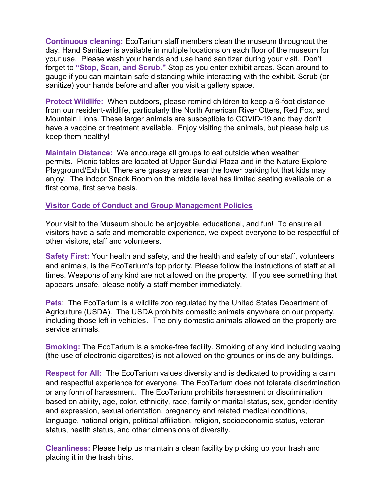Continuous cleaning: EcoTarium staff members clean the museum throughout the day. Hand Sanitizer is available in multiple locations on each floor of the museum for your use. Please wash your hands and use hand sanitizer during your visit. Don't forget to "Stop, Scan, and Scrub." Stop as you enter exhibit areas. Scan around to gauge if you can maintain safe distancing while interacting with the exhibit. Scrub (or sanitize) your hands before and after you visit a gallery space.

Protect Wildlife: When outdoors, please remind children to keep a 6-foot distance from our resident-wildlife, particularly the North American River Otters, Red Fox, and Mountain Lions. These larger animals are susceptible to COVID-19 and they don't have a vaccine or treatment available. Enjoy visiting the animals, but please help us keep them healthy!

Maintain Distance: We encourage all groups to eat outside when weather permits. Picnic tables are located at Upper Sundial Plaza and in the Nature Explore Playground/Exhibit. There are grassy areas near the lower parking lot that kids may enjoy. The indoor Snack Room on the middle level has limited seating available on a first come, first serve basis.

## Visitor Code of Conduct and Group Management Policies

Your visit to the Museum should be enjoyable, educational, and fun! To ensure all visitors have a safe and memorable experience, we expect everyone to be respectful of other visitors, staff and volunteers.

Safety First: Your health and safety, and the health and safety of our staff, volunteers and animals, is the EcoTarium's top priority. Please follow the instructions of staff at all times. Weapons of any kind are not allowed on the property. If you see something that appears unsafe, please notify a staff member immediately.

**Pets:** The EcoTarium is a wildlife zoo regulated by the United States Department of Agriculture (USDA). The USDA prohibits domestic animals anywhere on our property, including those left in vehicles. The only domestic animals allowed on the property are service animals.

Smoking: The EcoTarium is a smoke-free facility. Smoking of any kind including vaping (the use of electronic cigarettes) is not allowed on the grounds or inside any buildings.

Respect for All: The EcoTarium values diversity and is dedicated to providing a calm and respectful experience for everyone. The EcoTarium does not tolerate discrimination or any form of harassment. The EcoTarium prohibits harassment or discrimination based on ability, age, color, ethnicity, race, family or marital status, sex, gender identity and expression, sexual orientation, pregnancy and related medical conditions, language, national origin, political affiliation, religion, socioeconomic status, veteran status, health status, and other dimensions of diversity.

Cleanliness: Please help us maintain a clean facility by picking up your trash and placing it in the trash bins.